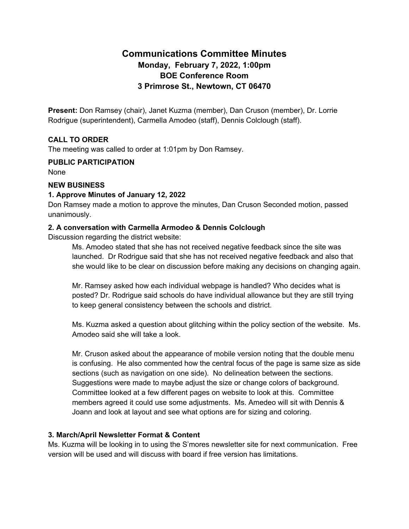# **Communications Committee Minutes Monday, February 7, 2022, 1:00pm BOE Conference Room 3 Primrose St., Newtown, CT 06470**

**Present:** Don Ramsey (chair), Janet Kuzma (member), Dan Cruson (member), Dr. Lorrie Rodrigue (superintendent), Carmella Amodeo (staff), Dennis Colclough (staff).

# **CALL TO ORDER**

The meeting was called to order at 1:01pm by Don Ramsey.

#### **PUBLIC PARTICIPATION**

None

#### **NEW BUSINESS**

#### **1. Approve Minutes of January 12, 2022**

Don Ramsey made a motion to approve the minutes, Dan Cruson Seconded motion, passed unanimously.

#### **2. A conversation with Carmella Armodeo & Dennis Colclough**

Discussion regarding the district website:

Ms. Amodeo stated that she has not received negative feedback since the site was launched. Dr Rodrigue said that she has not received negative feedback and also that she would like to be clear on discussion before making any decisions on changing again.

Mr. Ramsey asked how each individual webpage is handled? Who decides what is posted? Dr. Rodrigue said schools do have individual allowance but they are still trying to keep general consistency between the schools and district.

Ms. Kuzma asked a question about glitching within the policy section of the website. Ms. Amodeo said she will take a look.

Mr. Cruson asked about the appearance of mobile version noting that the double menu is confusing. He also commented how the central focus of the page is same size as side sections (such as navigation on one side). No delineation between the sections. Suggestions were made to maybe adjust the size or change colors of background. Committee looked at a few different pages on website to look at this. Committee members agreed it could use some adjustments. Ms. Amedeo will sit with Dennis & Joann and look at layout and see what options are for sizing and coloring.

### **3. March/April Newsletter Format & Content**

Ms. Kuzma will be looking in to using the S'mores newsletter site for next communication. Free version will be used and will discuss with board if free version has limitations.